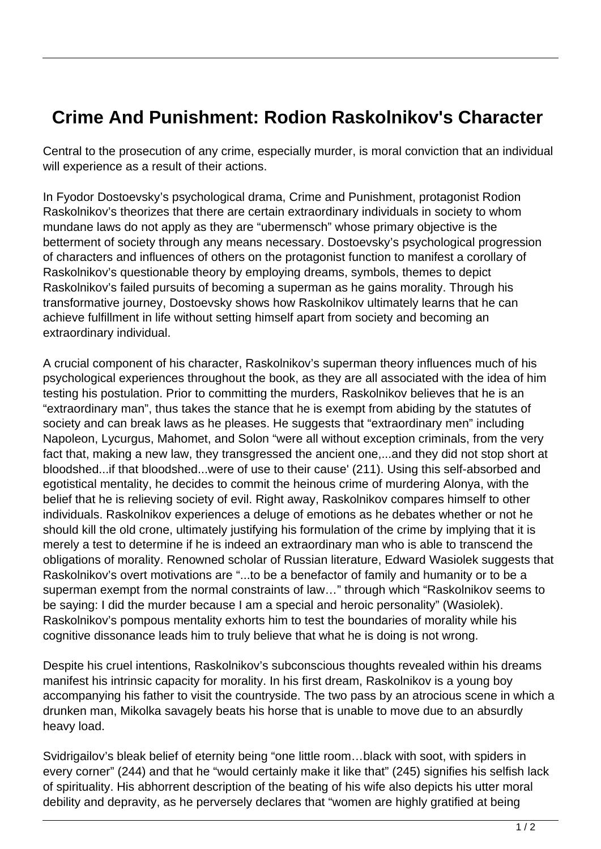## **Crime And Punishment: Rodion Raskolnikov's Character**

Central to the prosecution of any crime, especially murder, is moral conviction that an individual will experience as a result of their actions.

In Fyodor Dostoevsky's psychological drama, Crime and Punishment, protagonist Rodion Raskolnikov's theorizes that there are certain extraordinary individuals in society to whom mundane laws do not apply as they are "ubermensch" whose primary objective is the betterment of society through any means necessary. Dostoevsky's psychological progression of characters and influences of others on the protagonist function to manifest a corollary of Raskolnikov's questionable theory by employing dreams, symbols, themes to depict Raskolnikov's failed pursuits of becoming a superman as he gains morality. Through his transformative journey, Dostoevsky shows how Raskolnikov ultimately learns that he can achieve fulfillment in life without setting himself apart from society and becoming an extraordinary individual.

A crucial component of his character, Raskolnikov's superman theory influences much of his psychological experiences throughout the book, as they are all associated with the idea of him testing his postulation. Prior to committing the murders, Raskolnikov believes that he is an "extraordinary man", thus takes the stance that he is exempt from abiding by the statutes of society and can break laws as he pleases. He suggests that "extraordinary men" including Napoleon, Lycurgus, Mahomet, and Solon "were all without exception criminals, from the very fact that, making a new law, they transgressed the ancient one,...and they did not stop short at bloodshed...if that bloodshed...were of use to their cause' (211). Using this self-absorbed and egotistical mentality, he decides to commit the heinous crime of murdering Alonya, with the belief that he is relieving society of evil. Right away, Raskolnikov compares himself to other individuals. Raskolnikov experiences a deluge of emotions as he debates whether or not he should kill the old crone, ultimately justifying his formulation of the crime by implying that it is merely a test to determine if he is indeed an extraordinary man who is able to transcend the obligations of morality. Renowned scholar of Russian literature, Edward Wasiolek suggests that Raskolnikov's overt motivations are "...to be a benefactor of family and humanity or to be a superman exempt from the normal constraints of law…" through which "Raskolnikov seems to be saying: I did the murder because I am a special and heroic personality" (Wasiolek). Raskolnikov's pompous mentality exhorts him to test the boundaries of morality while his cognitive dissonance leads him to truly believe that what he is doing is not wrong.

Despite his cruel intentions, Raskolnikov's subconscious thoughts revealed within his dreams manifest his intrinsic capacity for morality. In his first dream, Raskolnikov is a young boy accompanying his father to visit the countryside. The two pass by an atrocious scene in which a drunken man, Mikolka savagely beats his horse that is unable to move due to an absurdly heavy load.

Svidrigailov's bleak belief of eternity being "one little room…black with soot, with spiders in every corner" (244) and that he "would certainly make it like that" (245) signifies his selfish lack of spirituality. His abhorrent description of the beating of his wife also depicts his utter moral debility and depravity, as he perversely declares that "women are highly gratified at being